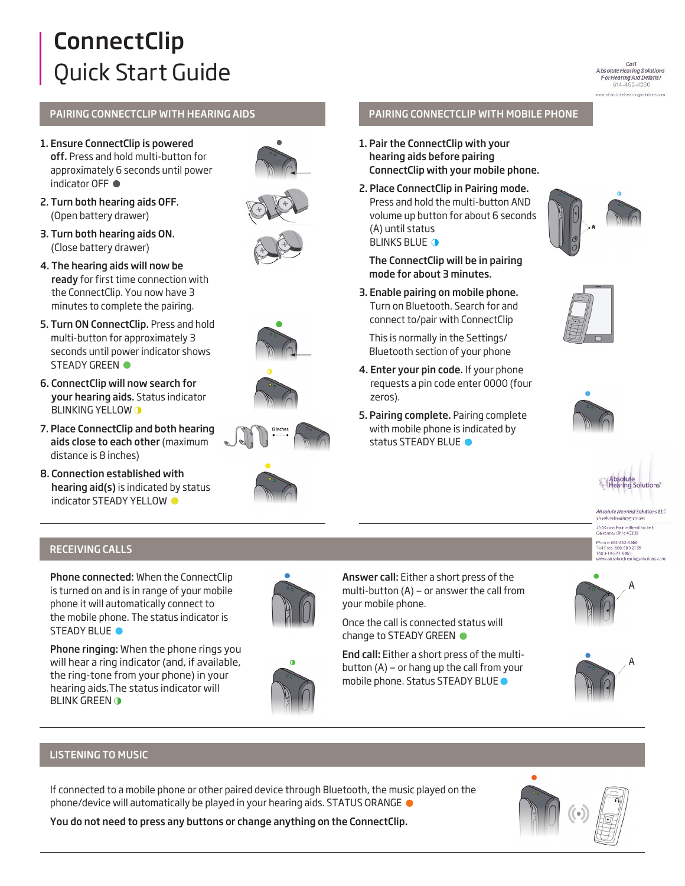# **ConnectClip** Quick Start Guide

Call Absolute Hearing Solutions<br>For Hearing Aid Details! 614-452-4280 absolutehearingsolution

## PAIRING CONNECTCLIP WITH HEARING AIDS

- 1. Ensure ConnectClip is powered off. Press and hold multi-button for approximately 6 seconds until power indicator OFF ●
- 2. Turn both hearing aids OFF. (Open battery drawer)
- 3. Turn both hearing aids ON. (Close battery drawer)
- 4. The hearing aids will now be ready for first time connection with the ConnectClip. You now have 3 minutes to complete the pairing.
- 5. Turn ON ConnectClip. Press and hold multi-button for approximately 3 seconds until power indicator shows STEADY GREEN  $\bullet$
- 6. ConnectClip will now search for your hearing aids. Status indicator BLINKING YELLOW O
- 7. Place ConnectClip and both hearing aids close to each other (maximum distance is 8 inches)
- 8. Connection established with hearing aid(s) is indicated by status indicator STEADY YELLOW  $\bullet$













### PAIRING CONNECTCLIP WITH MOBILE PHONE

- 1. Pair the ConnectClip with your hearing aids before pairing ConnectClip with your mobile phone.
- 2. Place ConnectClip in Pairing mode. Press and hold the multi-button AND volume up button for about 6 seconds (A) until status **BLINKS BLUE O**

The ConnectClip will be in pairing mode for about 3 minutes.

3. Enable pairing on mobile phone. Turn on Bluetooth. Search for and connect to/pair with ConnectClip

This is normally in the Settings/ Bluetooth section of your phone

- 4. Enter your pin code. If your phone requests a pin code enter 0000 (four zeros).
- 5. Pairing complete. Pairing complete with mobile phone is indicated by status STEADY BLUE  $\bullet$







#### **Absolute Hearing Solutions LLC** ab solutehearinge att.n 750 Cross Pointe Road Suite F<br>Gahanna, Ohio 43230 Phone: 614-452-4280 Toll Free: 888-803-2139<br>Fax: 614-577-0481<br>WWW.ali solutiet earlngsolutions.com

# RECEIVING CALLS

Phone connected: When the ConnectClip is turned on and is in range of your mobile phone it will automatically connect to the mobile phone. The status indicator is STEADY BLUE<sup>O</sup>

Phone ringing: When the phone rings you will hear a ring indicator (and, if available, the ring-tone from your phone) in your hearing aids.The status indicator will **BLINK GREEN O** 



O

Answer call: Either a short press of the multi-button (A) — or answer the call from your mobile phone.

Once the call is connected status will change to STEADY GREEN

End call: Either a short press of the multibutton (A) — or hang up the call from your mobile phone. Status STEADY BLUE





# LISTENING TO MUSIC

If connected to a mobile phone or other paired device through Bluetooth, the music played on the phone/device will automatically be played in your hearing aids. STATUS ORANGE



You do not need to press any buttons or change anything on the ConnectClip.